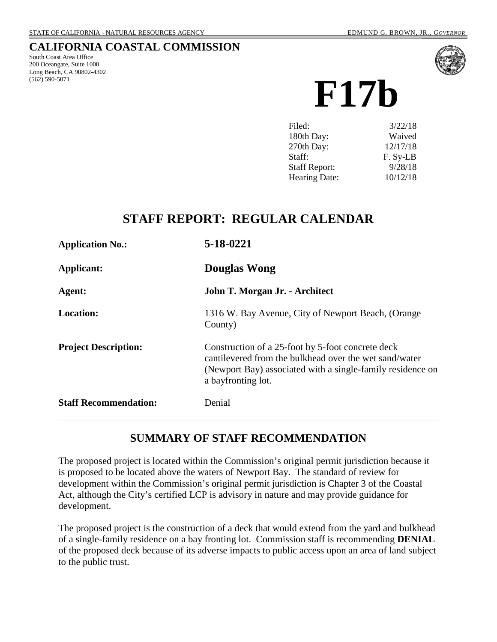## **CALIFORNIA COASTAL COMMISSION**

South Coast Area Office 200 Oceangate, Suite 1000 Long Beach, CA 90802-4302 (562) 590-5071



**F17b**

| 3/22/18  |
|----------|
| Waived   |
| 12/17/18 |
| F. Sy-LB |
| 9/28/18  |
| 10/12/18 |
|          |

# **STAFF REPORT: REGULAR CALENDAR**

| <b>Application No.:</b>      | 5-18-0221                                                                                                                                                                                       |
|------------------------------|-------------------------------------------------------------------------------------------------------------------------------------------------------------------------------------------------|
| <b>Applicant:</b>            | <b>Douglas Wong</b>                                                                                                                                                                             |
| Agent:                       | John T. Morgan Jr. - Architect                                                                                                                                                                  |
| <b>Location:</b>             | 1316 W. Bay Avenue, City of Newport Beach, (Orange<br>County)                                                                                                                                   |
| <b>Project Description:</b>  | Construction of a 25-foot by 5-foot concrete deck<br>cantilevered from the bulkhead over the wet sand/water<br>(Newport Bay) associated with a single-family residence on<br>a bayfronting lot. |
| <b>Staff Recommendation:</b> | Denial                                                                                                                                                                                          |

# **SUMMARY OF STAFF RECOMMENDATION**

The proposed project is located within the Commission's original permit jurisdiction because it is proposed to be located above the waters of Newport Bay. The standard of review for development within the Commission's original permit jurisdiction is Chapter 3 of the Coastal Act, although the City's certified LCP is advisory in nature and may provide guidance for development.

The proposed project is the construction of a deck that would extend from the yard and bulkhead of a single-family residence on a bay fronting lot. Commission staff is recommending **DENIAL** of the proposed deck because of its adverse impacts to public access upon an area of land subject to the public trust.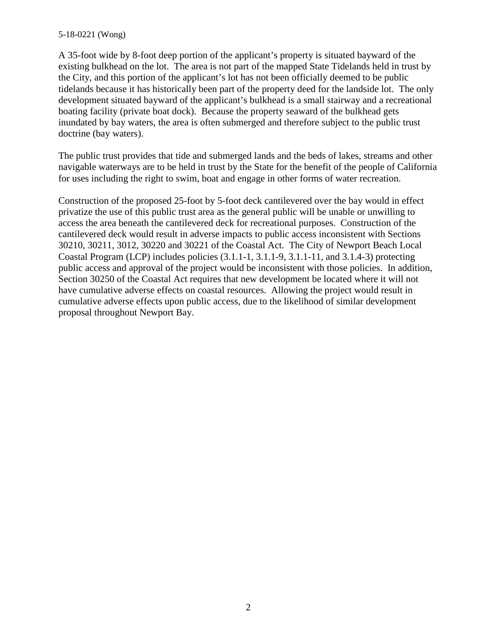#### 5-18-0221 (Wong)

A 35-foot wide by 8-foot deep portion of the applicant's property is situated bayward of the existing bulkhead on the lot. The area is not part of the mapped State Tidelands held in trust by the City, and this portion of the applicant's lot has not been officially deemed to be public tidelands because it has historically been part of the property deed for the landside lot. The only development situated bayward of the applicant's bulkhead is a small stairway and a recreational boating facility (private boat dock). Because the property seaward of the bulkhead gets inundated by bay waters, the area is often submerged and therefore subject to the public trust doctrine (bay waters).

The public trust provides that tide and submerged lands and the beds of lakes, streams and other navigable waterways are to be held in trust by the State for the benefit of the people of California for uses including the right to swim, boat and engage in other forms of water recreation.

Construction of the proposed 25-foot by 5-foot deck cantilevered over the bay would in effect privatize the use of this public trust area as the general public will be unable or unwilling to access the area beneath the cantilevered deck for recreational purposes. Construction of the cantilevered deck would result in adverse impacts to public access inconsistent with Sections 30210, 30211, 3012, 30220 and 30221 of the Coastal Act. The City of Newport Beach Local Coastal Program (LCP) includes policies (3.1.1-1, 3.1.1-9, 3.1.1-11, and 3.1.4-3) protecting public access and approval of the project would be inconsistent with those policies. In addition, Section 30250 of the Coastal Act requires that new development be located where it will not have cumulative adverse effects on coastal resources. Allowing the project would result in cumulative adverse effects upon public access, due to the likelihood of similar development proposal throughout Newport Bay.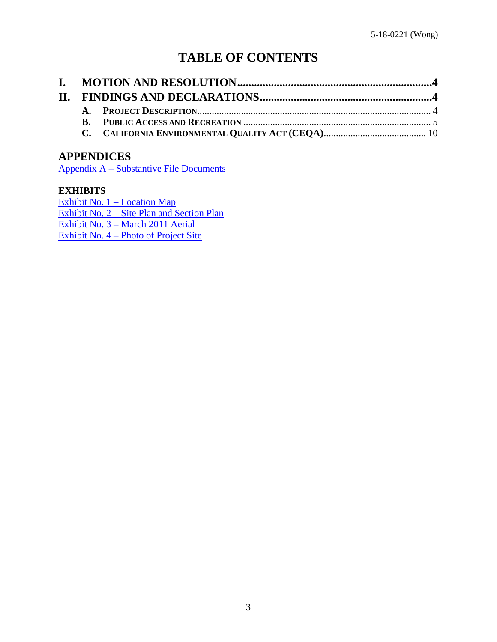# **TABLE OF CONTENTS**

# **APPENDICES**

Appendix A – [Substantive File Documents](#page-10-0)

#### **EXHIBITS**

[Exhibit No. 1 –](https://documents.coastal.ca.gov/reports/2018/10/F17b/F17b-10-2018-exhibits.pdf) Location Map [Exhibit No. 2](https://documents.coastal.ca.gov/reports/2018/10/F17b/F17b-10-2018-exhibits.pdf) – Site Plan and Section Plan Exhibit No. 3 – [March 2011 Aerial](https://documents.coastal.ca.gov/reports/2018/10/F17b/F17b-10-2018-exhibits.pdf) [Exhibit No. 4 –](https://documents.coastal.ca.gov/reports/2018/10/F17b/F17b-10-2018-exhibits.pdf) Photo of Project Site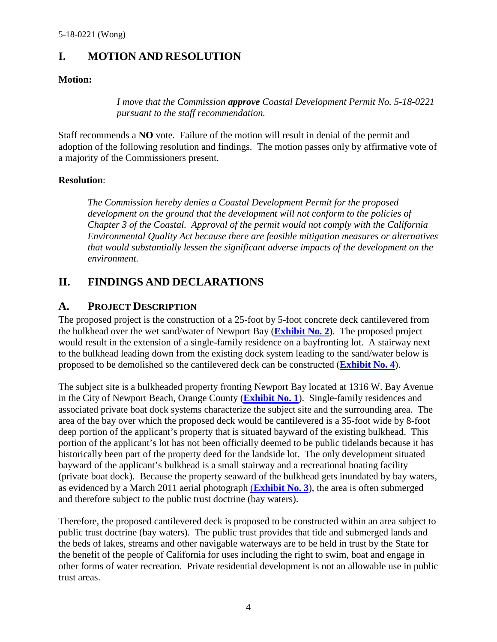# <span id="page-3-0"></span>**I. MOTION AND RESOLUTION**

#### **Motion:**

*I move that the Commission approve Coastal Development Permit No. 5-18-0221 pursuant to the staff recommendation.*

Staff recommends a **NO** vote. Failure of the motion will result in denial of the permit and adoption of the following resolution and findings. The motion passes only by affirmative vote of a majority of the Commissioners present.

#### **Resolution**:

*The Commission hereby denies a Coastal Development Permit for the proposed*  development on the ground that the development will not conform to the policies of *Chapter 3 of the Coastal. Approval of the permit would not comply with the California Environmental Quality Act because there are feasible mitigation measures or alternatives that would substantially lessen the significant adverse impacts of the development on the environment.*

# <span id="page-3-1"></span>**II. FINDINGS AND DECLARATIONS**

# <span id="page-3-2"></span>**A. PROJECT DESCRIPTION**

The proposed project is the construction of a 25-foot by 5-foot concrete deck cantilevered from the bulkhead over the wet sand/water of Newport Bay (**[Exhibit No. 2](https://documents.coastal.ca.gov/reports/2018/10/F17b/F17b-10-2018-exhibits.pdf)**). The proposed project would result in the extension of a single-family residence on a bayfronting lot. A stairway next to the bulkhead leading down from the existing dock system leading to the sand/water below is proposed to be demolished so the cantilevered deck can be constructed (**[Exhibit No. 4](https://documents.coastal.ca.gov/reports/2018/10/F17b/F17b-10-2018-exhibits.pdf)**).

The subject site is a bulkheaded property fronting Newport Bay located at 1316 W. Bay Avenue in the City of Newport Beach, Orange County (**[Exhibit No. 1](https://documents.coastal.ca.gov/reports/2018/10/F17b/F17b-10-2018-exhibits.pdf)**). Single-family residences and associated private boat dock systems characterize the subject site and the surrounding area. The area of the bay over which the proposed deck would be cantilevered is a 35-foot wide by 8-foot deep portion of the applicant's property that is situated bayward of the existing bulkhead. This portion of the applicant's lot has not been officially deemed to be public tidelands because it has historically been part of the property deed for the landside lot. The only development situated bayward of the applicant's bulkhead is a small stairway and a recreational boating facility (private boat dock). Because the property seaward of the bulkhead gets inundated by bay waters, as evidenced by a March 2011 aerial photograph (**[Exhibit No. 3](https://documents.coastal.ca.gov/reports/2018/10/F17b/F17b-10-2018-exhibits.pdf)**), the area is often submerged and therefore subject to the public trust doctrine (bay waters).

Therefore, the proposed cantilevered deck is proposed to be constructed within an area subject to public trust doctrine (bay waters). The public trust provides that tide and submerged lands and the beds of lakes, streams and other navigable waterways are to be held in trust by the State for the benefit of the people of California for uses including the right to swim, boat and engage in other forms of water recreation. Private residential development is not an allowable use in public trust areas.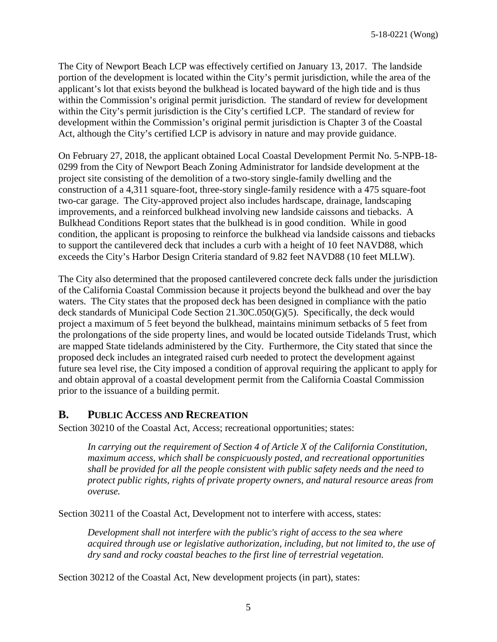The City of Newport Beach LCP was effectively certified on January 13, 2017. The landside portion of the development is located within the City's permit jurisdiction, while the area of the applicant's lot that exists beyond the bulkhead is located bayward of the high tide and is thus within the Commission's original permit jurisdiction. The standard of review for development within the City's permit jurisdiction is the City's certified LCP. The standard of review for development within the Commission's original permit jurisdiction is Chapter 3 of the Coastal Act, although the City's certified LCP is advisory in nature and may provide guidance.

On February 27, 2018, the applicant obtained Local Coastal Development Permit No. 5-NPB-18- 0299 from the City of Newport Beach Zoning Administrator for landside development at the project site consisting of the demolition of a two-story single-family dwelling and the construction of a 4,311 square-foot, three-story single-family residence with a 475 square-foot two-car garage. The City-approved project also includes hardscape, drainage, landscaping improvements, and a reinforced bulkhead involving new landside caissons and tiebacks. A Bulkhead Conditions Report states that the bulkhead is in good condition. While in good condition, the applicant is proposing to reinforce the bulkhead via landside caissons and tiebacks to support the cantilevered deck that includes a curb with a height of 10 feet NAVD88, which exceeds the City's Harbor Design Criteria standard of 9.82 feet NAVD88 (10 feet MLLW).

The City also determined that the proposed cantilevered concrete deck falls under the jurisdiction of the California Coastal Commission because it projects beyond the bulkhead and over the bay waters. The City states that the proposed deck has been designed in compliance with the patio deck standards of Municipal Code Section 21.30C.050(G)(5). Specifically, the deck would project a maximum of 5 feet beyond the bulkhead, maintains minimum setbacks of 5 feet from the prolongations of the side property lines, and would be located outside Tidelands Trust, which are mapped State tidelands administered by the City. Furthermore, the City stated that since the proposed deck includes an integrated raised curb needed to protect the development against future sea level rise, the City imposed a condition of approval requiring the applicant to apply for and obtain approval of a coastal development permit from the California Coastal Commission prior to the issuance of a building permit.

## <span id="page-4-0"></span>**B. PUBLIC ACCESS AND RECREATION**

Section 30210 of the Coastal Act, Access; recreational opportunities; states:

*In carrying out the requirement of Section 4 of Article X of the California Constitution, maximum access, which shall be conspicuously posted, and recreational opportunities shall be provided for all the people consistent with public safety needs and the need to protect public rights, rights of private property owners, and natural resource areas from overuse.*

Section 30211 of the Coastal Act, Development not to interfere with access, states:

*Development shall not interfere with the public's right of access to the sea where acquired through use or legislative authorization, including, but not limited to, the use of dry sand and rocky coastal beaches to the first line of terrestrial vegetation.* 

Section 30212 of the Coastal Act, New development projects (in part), states: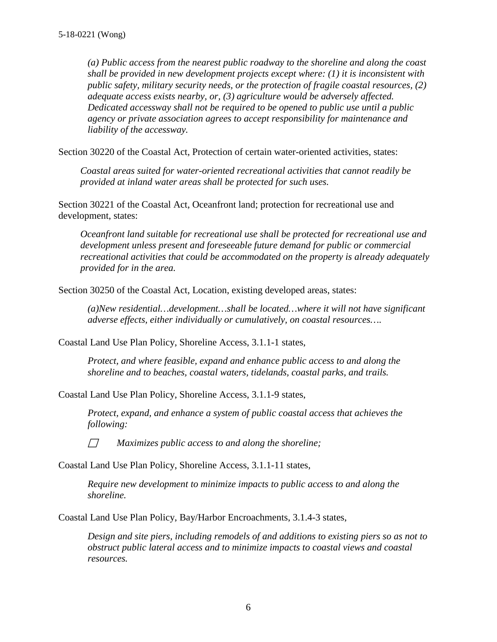*(a) Public access from the nearest public roadway to the shoreline and along the coast shall be provided in new development projects except where: (1) it is inconsistent with public safety, military security needs, or the protection of fragile coastal resources, (2) adequate access exists nearby, or, (3) agriculture would be adversely affected. Dedicated accessway shall not be required to be opened to public use until a public agency or private association agrees to accept responsibility for maintenance and liability of the accessway.*

Section 30220 of the Coastal Act, Protection of certain water-oriented activities, states:

*Coastal areas suited for water-oriented recreational activities that cannot readily be provided at inland water areas shall be protected for such uses.*

Section 30221 of the Coastal Act, Oceanfront land; protection for recreational use and development, states:

*Oceanfront land suitable for recreational use shall be protected for recreational use and development unless present and foreseeable future demand for public or commercial recreational activities that could be accommodated on the property is already adequately provided for in the area.*

Section 30250 of the Coastal Act, Location, existing developed areas, states:

*(a)New residential…development…shall be located…where it will not have significant adverse effects, either individually or cumulatively, on coastal resources….*

Coastal Land Use Plan Policy, Shoreline Access, 3.1.1-1 states,

*Protect, and where feasible, expand and enhance public access to and along the shoreline and to beaches, coastal waters, tidelands, coastal parks, and trails.*

Coastal Land Use Plan Policy, Shoreline Access, 3.1.1-9 states,

*Protect, expand, and enhance a system of public coastal access that achieves the following:*

*Maximizes public access to and along the shoreline;*

Coastal Land Use Plan Policy, Shoreline Access, 3.1.1-11 states,

*Require new development to minimize impacts to public access to and along the shoreline.*

Coastal Land Use Plan Policy, Bay/Harbor Encroachments, 3.1.4-3 states,

*Design and site piers, including remodels of and additions to existing piers so as not to obstruct public lateral access and to minimize impacts to coastal views and coastal resources.*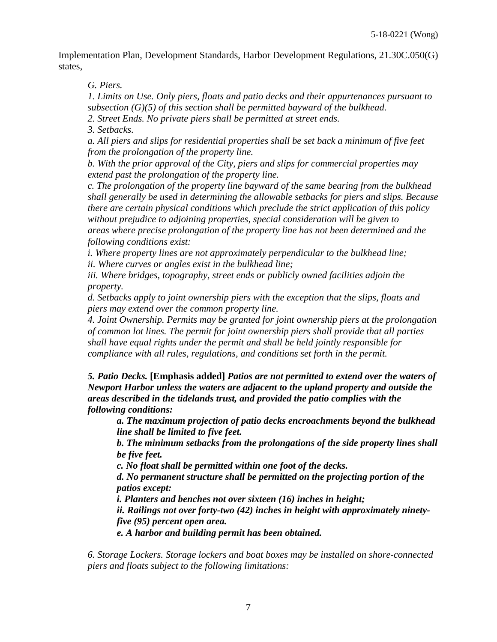Implementation Plan, Development Standards, Harbor Development Regulations, 21.30C.050(G) states,

*G. Piers.*

*1. Limits on Use. Only piers, floats and patio decks and their appurtenances pursuant to subsection (G)(5) of this section shall be permitted bayward of the bulkhead. 2. Street Ends. No private piers shall be permitted at street ends.*

*3. Setbacks.*

*a. All piers and slips for residential properties shall be set back a minimum of five feet from the prolongation of the property line.*

*b. With the prior approval of the City, piers and slips for commercial properties may extend past the prolongation of the property line.*

*c. The prolongation of the property line bayward of the same bearing from the bulkhead shall generally be used in determining the allowable setbacks for piers and slips. Because there are certain physical conditions which preclude the strict application of this policy without prejudice to adjoining properties, special consideration will be given to areas where precise prolongation of the property line has not been determined and the following conditions exist:*

*i. Where property lines are not approximately perpendicular to the bulkhead line;*

*ii. Where curves or angles exist in the bulkhead line;*

iii. Where bridges, topography, street ends or publicly owned facilities adjoin the *property.*

*d. Setbacks apply to joint ownership piers with the exception that the slips, floats and piers may extend over the common property line.*

*4. Joint Ownership. Permits may be granted for joint ownership piers at the prolongation of common lot lines. The permit for joint ownership piers shall provide that all parties shall have equal rights under the permit and shall be held jointly responsible for compliance with all rules, regulations, and conditions set forth in the permit.*

*5. Patio Decks.* **[Emphasis added]** *Patios are not permitted to extend over the waters of Newport Harbor unless the waters are adjacent to the upland property and outside the areas described in the tidelands trust, and provided the patio complies with the following conditions:*

*a. The maximum projection of patio decks encroachments beyond the bulkhead line shall be limited to five feet.*

*b. The minimum setbacks from the prolongations of the side property lines shall be five feet.*

*c. No float shall be permitted within one foot of the decks.*

*d. No permanent structure shall be permitted on the projecting portion of the patios except:*

*i. Planters and benches not over sixteen (16) inches in height;*

*ii. Railings not over forty-two (42) inches in height with approximately ninetyfive (95) percent open area.*

*e. A harbor and building permit has been obtained.*

*6. Storage Lockers. Storage lockers and boat boxes may be installed on shore-connected piers and floats subject to the following limitations:*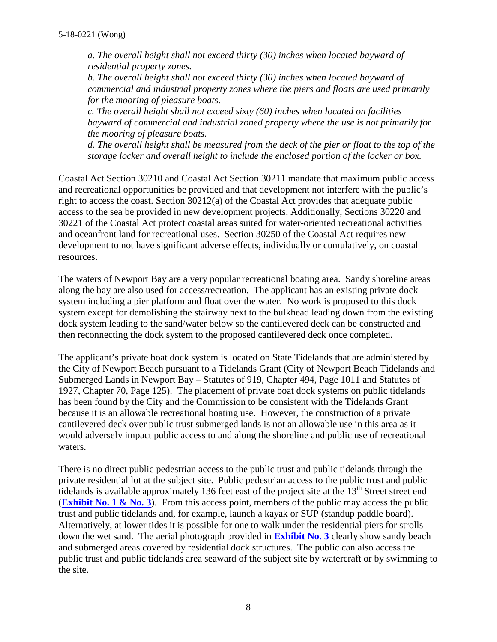*a. The overall height shall not exceed thirty (30) inches when located bayward of residential property zones.*

*b. The overall height shall not exceed thirty (30) inches when located bayward of commercial and industrial property zones where the piers and floats are used primarily for the mooring of pleasure boats.*

*c. The overall height shall not exceed sixty (60) inches when located on facilities bayward of commercial and industrial zoned property where the use is not primarily for the mooring of pleasure boats.*

*d. The overall height shall be measured from the deck of the pier or float to the top of the storage locker and overall height to include the enclosed portion of the locker or box.*

Coastal Act Section 30210 and Coastal Act Section 30211 mandate that maximum public access and recreational opportunities be provided and that development not interfere with the public's right to access the coast. Section 30212(a) of the Coastal Act provides that adequate public access to the sea be provided in new development projects. Additionally, Sections 30220 and 30221 of the Coastal Act protect coastal areas suited for water-oriented recreational activities and oceanfront land for recreational uses. Section 30250 of the Coastal Act requires new development to not have significant adverse effects, individually or cumulatively, on coastal resources.

The waters of Newport Bay are a very popular recreational boating area. Sandy shoreline areas along the bay are also used for access/recreation. The applicant has an existing private dock system including a pier platform and float over the water. No work is proposed to this dock system except for demolishing the stairway next to the bulkhead leading down from the existing dock system leading to the sand/water below so the cantilevered deck can be constructed and then reconnecting the dock system to the proposed cantilevered deck once completed.

The applicant's private boat dock system is located on State Tidelands that are administered by the City of Newport Beach pursuant to a Tidelands Grant (City of Newport Beach Tidelands and Submerged Lands in Newport Bay – Statutes of 919, Chapter 494, Page 1011 and Statutes of 1927, Chapter 70, Page 125). The placement of private boat dock systems on public tidelands has been found by the City and the Commission to be consistent with the Tidelands Grant because it is an allowable recreational boating use. However, the construction of a private cantilevered deck over public trust submerged lands is not an allowable use in this area as it would adversely impact public access to and along the shoreline and public use of recreational waters.

There is no direct public pedestrian access to the public trust and public tidelands through the private residential lot at the subject site. Public pedestrian access to the public trust and public tidelands is available approximately 136 feet east of the project site at the  $13<sup>th</sup>$  Street street end (**[Exhibit No. 1 & No. 3](https://documents.coastal.ca.gov/reports/2018/10/F17b/F17b-10-2018-exhibits.pdf)**). From this access point, members of the public may access the public trust and public tidelands and, for example, launch a kayak or SUP (standup paddle board). Alternatively, at lower tides it is possible for one to walk under the residential piers for strolls down the wet sand. The aerial photograph provided in **[Exhibit No. 3](https://documents.coastal.ca.gov/reports/2018/10/F17b/F17b-10-2018-exhibits.pdf)** clearly show sandy beach and submerged areas covered by residential dock structures. The public can also access the public trust and public tidelands area seaward of the subject site by watercraft or by swimming to the site.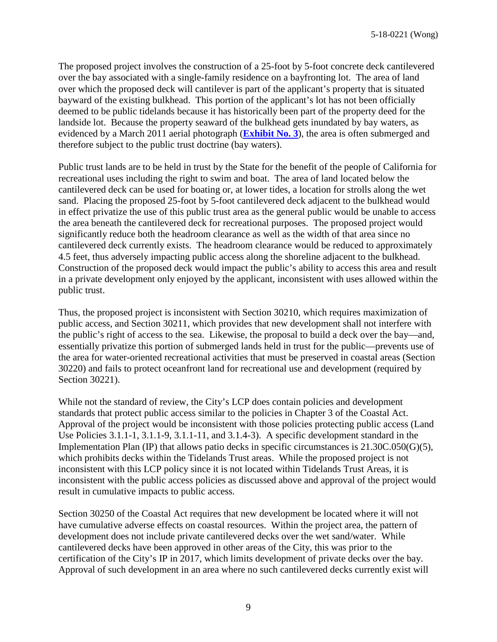The proposed project involves the construction of a 25-foot by 5-foot concrete deck cantilevered over the bay associated with a single-family residence on a bayfronting lot. The area of land over which the proposed deck will cantilever is part of the applicant's property that is situated bayward of the existing bulkhead. This portion of the applicant's lot has not been officially deemed to be public tidelands because it has historically been part of the property deed for the landside lot. Because the property seaward of the bulkhead gets inundated by bay waters, as evidenced by a March 2011 aerial photograph (**[Exhibit No. 3](https://documents.coastal.ca.gov/reports/2018/10/F17b/F17b-10-2018-exhibits.pdf)**), the area is often submerged and therefore subject to the public trust doctrine (bay waters).

Public trust lands are to be held in trust by the State for the benefit of the people of California for recreational uses including the right to swim and boat. The area of land located below the cantilevered deck can be used for boating or, at lower tides, a location for strolls along the wet sand. Placing the proposed 25-foot by 5-foot cantilevered deck adjacent to the bulkhead would in effect privatize the use of this public trust area as the general public would be unable to access the area beneath the cantilevered deck for recreational purposes. The proposed project would significantly reduce both the headroom clearance as well as the width of that area since no cantilevered deck currently exists. The headroom clearance would be reduced to approximately 4.5 feet, thus adversely impacting public access along the shoreline adjacent to the bulkhead. Construction of the proposed deck would impact the public's ability to access this area and result in a private development only enjoyed by the applicant, inconsistent with uses allowed within the public trust.

Thus, the proposed project is inconsistent with Section 30210, which requires maximization of public access, and Section 30211, which provides that new development shall not interfere with the public's right of access to the sea. Likewise, the proposal to build a deck over the bay—and, essentially privatize this portion of submerged lands held in trust for the public—prevents use of the area for water-oriented recreational activities that must be preserved in coastal areas (Section 30220) and fails to protect oceanfront land for recreational use and development (required by Section 30221).

While not the standard of review, the City's LCP does contain policies and development standards that protect public access similar to the policies in Chapter 3 of the Coastal Act. Approval of the project would be inconsistent with those policies protecting public access (Land Use Policies 3.1.1-1, 3.1.1-9, 3.1.1-11, and 3.1.4-3). A specific development standard in the Implementation Plan (IP) that allows patio decks in specific circumstances is 21.30C.050(G)(5), which prohibits decks within the Tidelands Trust areas. While the proposed project is not inconsistent with this LCP policy since it is not located within Tidelands Trust Areas, it is inconsistent with the public access policies as discussed above and approval of the project would result in cumulative impacts to public access.

Section 30250 of the Coastal Act requires that new development be located where it will not have cumulative adverse effects on coastal resources. Within the project area, the pattern of development does not include private cantilevered decks over the wet sand/water. While cantilevered decks have been approved in other areas of the City, this was prior to the certification of the City's IP in 2017, which limits development of private decks over the bay. Approval of such development in an area where no such cantilevered decks currently exist will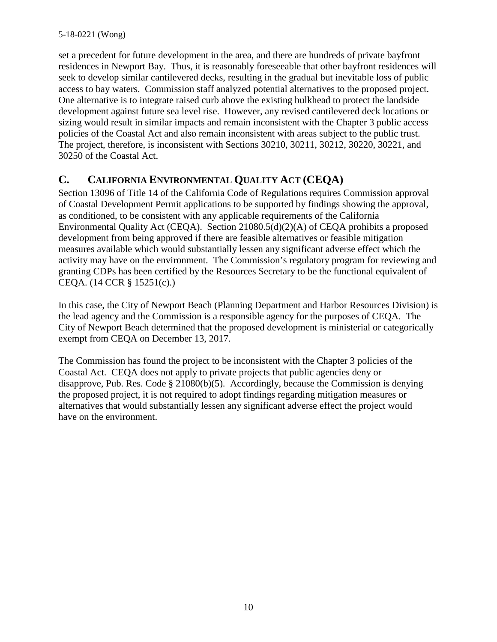set a precedent for future development in the area, and there are hundreds of private bayfront residences in Newport Bay. Thus, it is reasonably foreseeable that other bayfront residences will seek to develop similar cantilevered decks, resulting in the gradual but inevitable loss of public access to bay waters. Commission staff analyzed potential alternatives to the proposed project. One alternative is to integrate raised curb above the existing bulkhead to protect the landside development against future sea level rise. However, any revised cantilevered deck locations or sizing would result in similar impacts and remain inconsistent with the Chapter 3 public access policies of the Coastal Act and also remain inconsistent with areas subject to the public trust. The project, therefore, is inconsistent with Sections 30210, 30211, 30212, 30220, 30221, and 30250 of the Coastal Act.

# <span id="page-9-0"></span>**C. CALIFORNIA ENVIRONMENTAL QUALITY ACT (CEQA)**

Section 13096 of Title 14 of the California Code of Regulations requires Commission approval of Coastal Development Permit applications to be supported by findings showing the approval, as conditioned, to be consistent with any applicable requirements of the California Environmental Quality Act (CEQA). Section 21080.5(d)(2)(A) of CEQA prohibits a proposed development from being approved if there are feasible alternatives or feasible mitigation measures available which would substantially lessen any significant adverse effect which the activity may have on the environment. The Commission's regulatory program for reviewing and granting CDPs has been certified by the Resources Secretary to be the functional equivalent of CEQA. (14 CCR § 15251(c).)

In this case, the City of Newport Beach (Planning Department and Harbor Resources Division) is the lead agency and the Commission is a responsible agency for the purposes of CEQA. The City of Newport Beach determined that the proposed development is ministerial or categorically exempt from CEQA on December 13, 2017.

The Commission has found the project to be inconsistent with the Chapter 3 policies of the Coastal Act. CEQA does not apply to private projects that public agencies deny or disapprove, Pub. Res. Code § 21080(b)(5). Accordingly, because the Commission is denying the proposed project, it is not required to adopt findings regarding mitigation measures or alternatives that would substantially lessen any significant adverse effect the project would have on the environment.